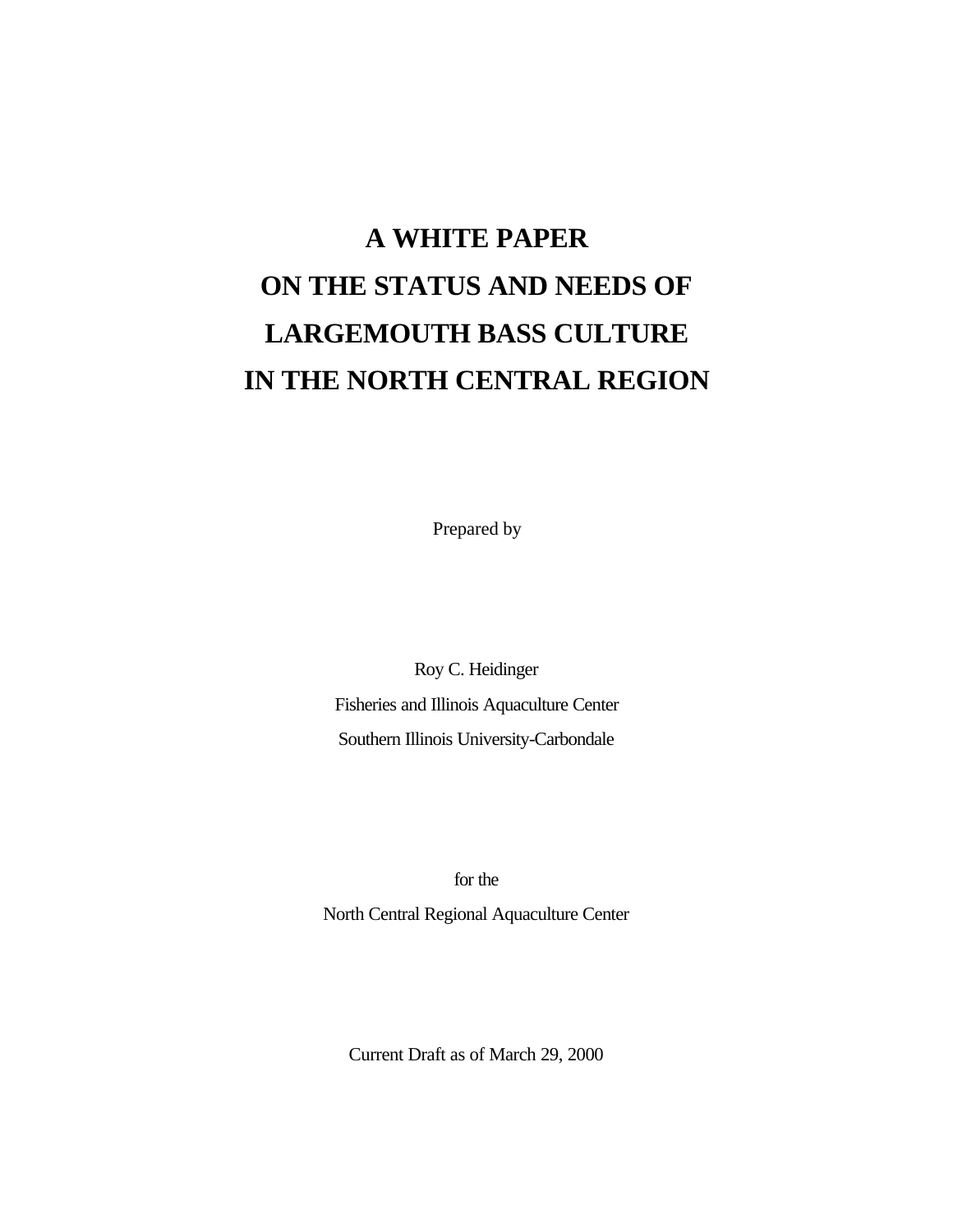# **A WHITE PAPER ON THE STATUS AND NEEDS OF LARGEMOUTH BASS CULTURE IN THE NORTH CENTRAL REGION**

Prepared by

Roy C. Heidinger Fisheries and Illinois Aquaculture Center Southern Illinois University-Carbondale

for the

North Central Regional Aquaculture Center

Current Draft as of March 29, 2000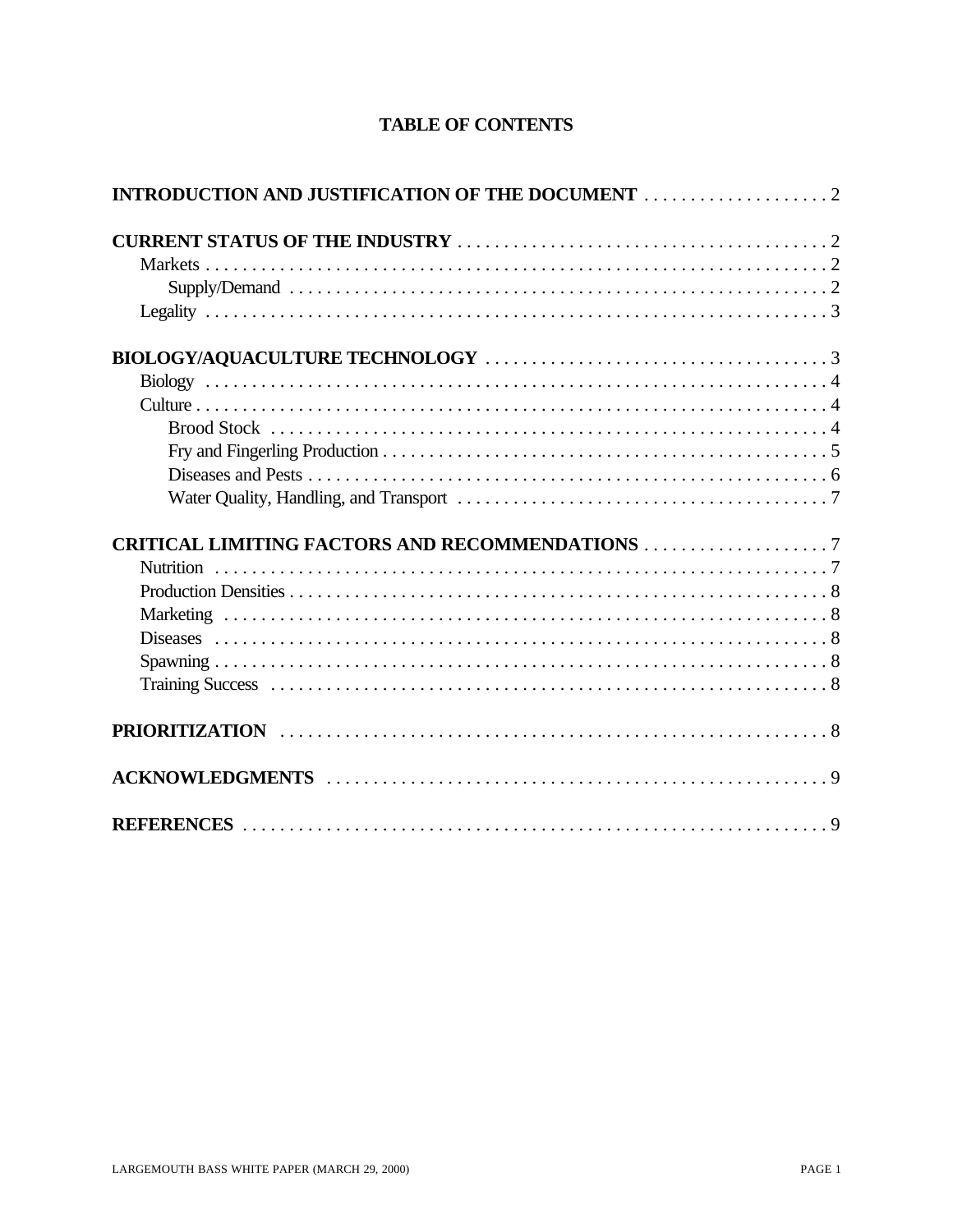| <b>TABLE OF CONTENTS</b> |  |  |  |  |
|--------------------------|--|--|--|--|
|--------------------------|--|--|--|--|

| <b>Nutrition</b> |  |
|------------------|--|
|                  |  |
|                  |  |
|                  |  |
|                  |  |
|                  |  |
|                  |  |
|                  |  |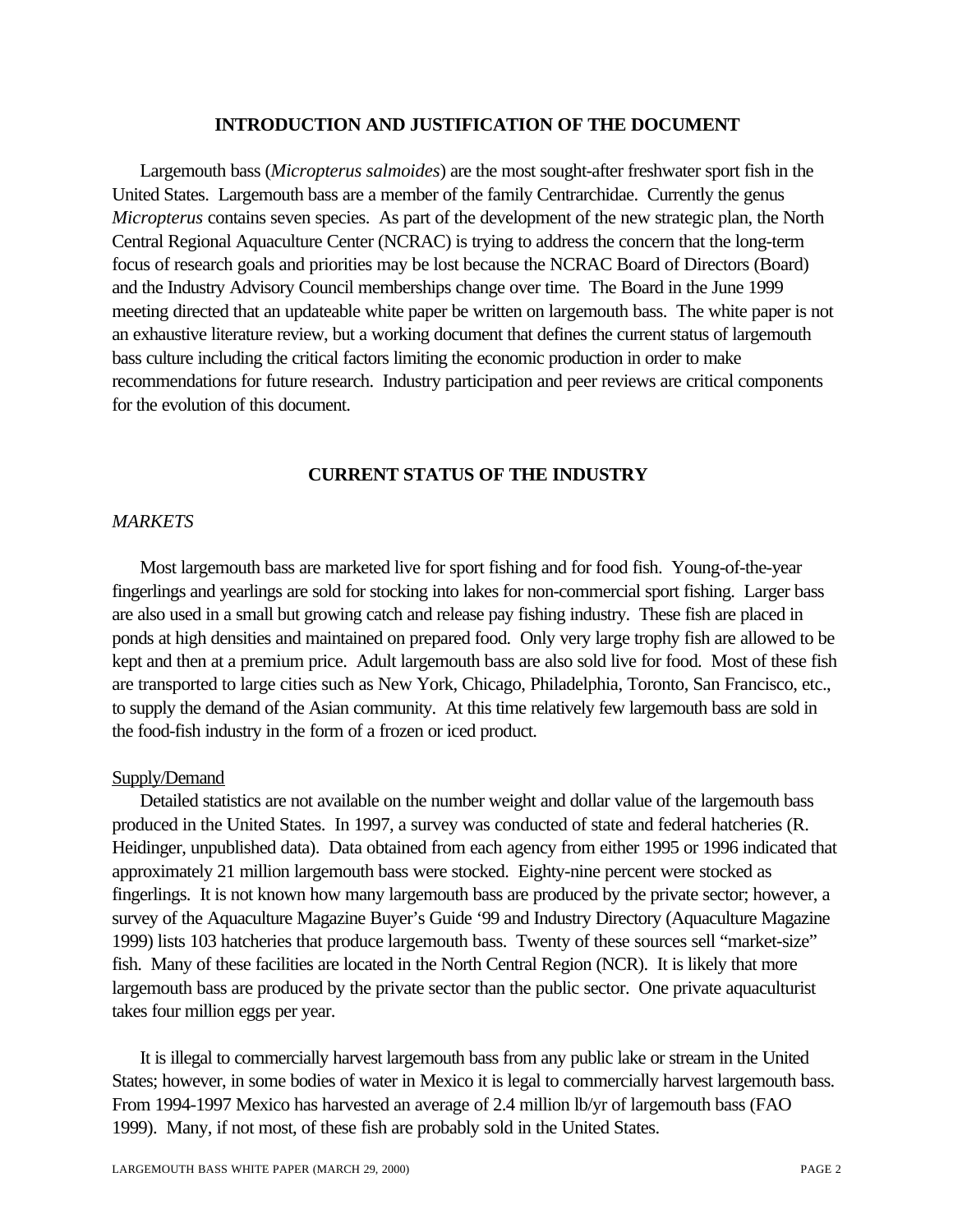### **INTRODUCTION AND JUSTIFICATION OF THE DOCUMENT**

Largemouth bass (*Micropterus salmoides*) are the most sought-after freshwater sport fish in the United States. Largemouth bass are a member of the family Centrarchidae. Currently the genus *Micropterus* contains seven species. As part of the development of the new strategic plan, the North Central Regional Aquaculture Center (NCRAC) is trying to address the concern that the long-term focus of research goals and priorities may be lost because the NCRAC Board of Directors (Board) and the Industry Advisory Council memberships change over time. The Board in the June 1999 meeting directed that an updateable white paper be written on largemouth bass. The white paper is not an exhaustive literature review, but a working document that defines the current status of largemouth bass culture including the critical factors limiting the economic production in order to make recommendations for future research. Industry participation and peer reviews are critical components for the evolution of this document.

## **CURRENT STATUS OF THE INDUSTRY**

### *MARKETS*

Most largemouth bass are marketed live for sport fishing and for food fish. Young-of-the-year fingerlings and yearlings are sold for stocking into lakes for non-commercial sport fishing. Larger bass are also used in a small but growing catch and release pay fishing industry. These fish are placed in ponds at high densities and maintained on prepared food. Only very large trophy fish are allowed to be kept and then at a premium price. Adult largemouth bass are also sold live for food. Most of these fish are transported to large cities such as New York, Chicago, Philadelphia, Toronto, San Francisco, etc., to supply the demand of the Asian community. At this time relatively few largemouth bass are sold in the food-fish industry in the form of a frozen or iced product.

### Supply/Demand

Detailed statistics are not available on the number weight and dollar value of the largemouth bass produced in the United States. In 1997, a survey was conducted of state and federal hatcheries (R. Heidinger, unpublished data). Data obtained from each agency from either 1995 or 1996 indicated that approximately 21 million largemouth bass were stocked. Eighty-nine percent were stocked as fingerlings. It is not known how many largemouth bass are produced by the private sector; however, a survey of the Aquaculture Magazine Buyer's Guide '99 and Industry Directory (Aquaculture Magazine 1999) lists 103 hatcheries that produce largemouth bass. Twenty of these sources sell "market-size" fish. Many of these facilities are located in the North Central Region (NCR). It is likely that more largemouth bass are produced by the private sector than the public sector. One private aquaculturist takes four million eggs per year.

It is illegal to commercially harvest largemouth bass from any public lake or stream in the United States; however, in some bodies of water in Mexico it is legal to commercially harvest largemouth bass. From 1994-1997 Mexico has harvested an average of 2.4 million lb/yr of largemouth bass (FAO 1999). Many, if not most, of these fish are probably sold in the United States.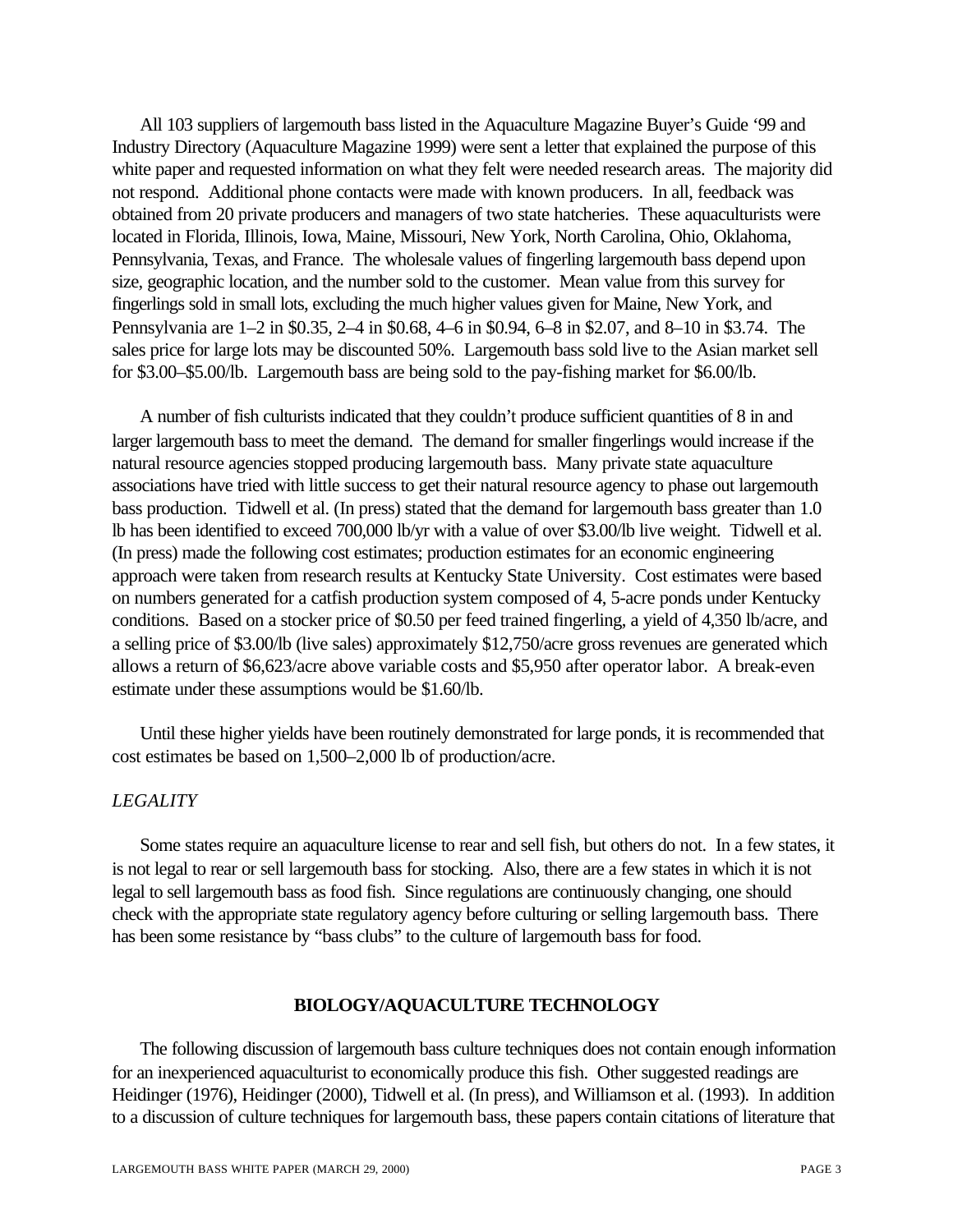All 103 suppliers of largemouth bass listed in the Aquaculture Magazine Buyer's Guide '99 and Industry Directory (Aquaculture Magazine 1999) were sent a letter that explained the purpose of this white paper and requested information on what they felt were needed research areas. The majority did not respond. Additional phone contacts were made with known producers. In all, feedback was obtained from 20 private producers and managers of two state hatcheries. These aquaculturists were located in Florida, Illinois, Iowa, Maine, Missouri, New York, North Carolina, Ohio, Oklahoma, Pennsylvania, Texas, and France. The wholesale values of fingerling largemouth bass depend upon size, geographic location, and the number sold to the customer. Mean value from this survey for fingerlings sold in small lots, excluding the much higher values given for Maine, New York, and Pennsylvania are 1–2 in \$0.35, 2–4 in \$0.68, 4–6 in \$0.94, 6–8 in \$2.07, and 8–10 in \$3.74. The sales price for large lots may be discounted 50%. Largemouth bass sold live to the Asian market sell for \$3.00–\$5.00/lb. Largemouth bass are being sold to the pay-fishing market for \$6.00/lb.

A number of fish culturists indicated that they couldn't produce sufficient quantities of 8 in and larger largemouth bass to meet the demand. The demand for smaller fingerlings would increase if the natural resource agencies stopped producing largemouth bass. Many private state aquaculture associations have tried with little success to get their natural resource agency to phase out largemouth bass production. Tidwell et al. (In press) stated that the demand for largemouth bass greater than 1.0 lb has been identified to exceed 700,000 lb/yr with a value of over \$3.00/lb live weight. Tidwell et al. (In press) made the following cost estimates; production estimates for an economic engineering approach were taken from research results at Kentucky State University. Cost estimates were based on numbers generated for a catfish production system composed of 4, 5-acre ponds under Kentucky conditions. Based on a stocker price of \$0.50 per feed trained fingerling, a yield of 4,350 lb/acre, and a selling price of \$3.00/lb (live sales) approximately \$12,750/acre gross revenues are generated which allows a return of \$6,623/acre above variable costs and \$5,950 after operator labor. A break-even estimate under these assumptions would be \$1.60/lb.

Until these higher yields have been routinely demonstrated for large ponds, it is recommended that cost estimates be based on 1,500–2,000 lb of production/acre.

### *LEGALITY*

Some states require an aquaculture license to rear and sell fish, but others do not. In a few states, it is not legal to rear or sell largemouth bass for stocking. Also, there are a few states in which it is not legal to sell largemouth bass as food fish. Since regulations are continuously changing, one should check with the appropriate state regulatory agency before culturing or selling largemouth bass. There has been some resistance by "bass clubs" to the culture of largemouth bass for food.

### **BIOLOGY/AQUACULTURE TECHNOLOGY**

The following discussion of largemouth bass culture techniques does not contain enough information for an inexperienced aquaculturist to economically produce this fish. Other suggested readings are Heidinger (1976), Heidinger (2000), Tidwell et al. (In press), and Williamson et al. (1993). In addition to a discussion of culture techniques for largemouth bass, these papers contain citations of literature that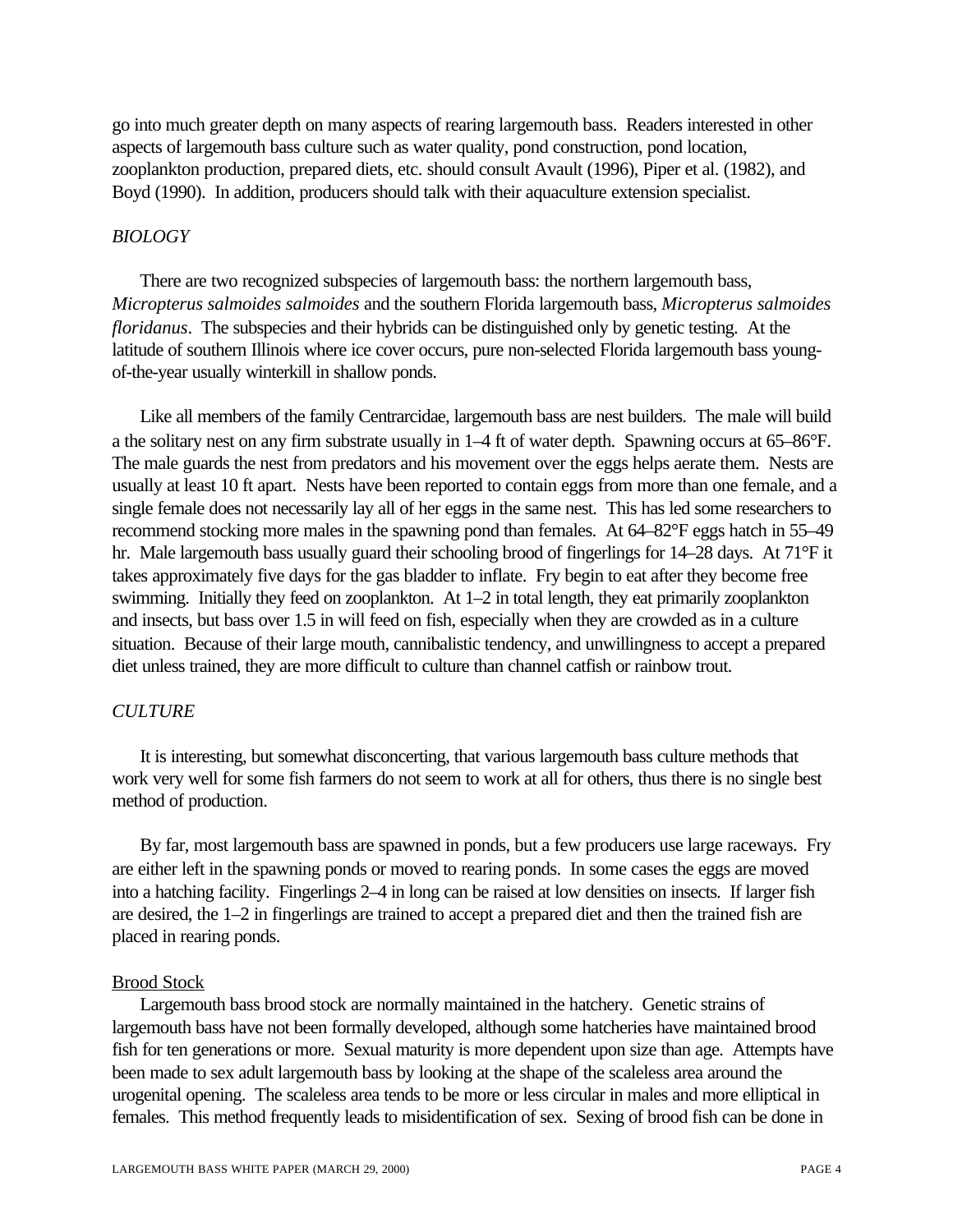go into much greater depth on many aspects of rearing largemouth bass. Readers interested in other aspects of largemouth bass culture such as water quality, pond construction, pond location, zooplankton production, prepared diets, etc. should consult Avault (1996), Piper et al. (1982), and Boyd (1990). In addition, producers should talk with their aquaculture extension specialist.

#### *BIOLOGY*

There are two recognized subspecies of largemouth bass: the northern largemouth bass, *Micropterus salmoides salmoides* and the southern Florida largemouth bass, *Micropterus salmoides floridanus*. The subspecies and their hybrids can be distinguished only by genetic testing. At the latitude of southern Illinois where ice cover occurs, pure non-selected Florida largemouth bass youngof-the-year usually winterkill in shallow ponds.

Like all members of the family Centrarcidae, largemouth bass are nest builders. The male will build a the solitary nest on any firm substrate usually in 1–4 ft of water depth. Spawning occurs at 65–86°F. The male guards the nest from predators and his movement over the eggs helps aerate them. Nests are usually at least 10 ft apart. Nests have been reported to contain eggs from more than one female, and a single female does not necessarily lay all of her eggs in the same nest. This has led some researchers to recommend stocking more males in the spawning pond than females. At 64–82°F eggs hatch in 55–49 hr. Male largemouth bass usually guard their schooling brood of fingerlings for 14–28 days. At 71°F it takes approximately five days for the gas bladder to inflate. Fry begin to eat after they become free swimming. Initially they feed on zooplankton. At 1–2 in total length, they eat primarily zooplankton and insects, but bass over 1.5 in will feed on fish, especially when they are crowded as in a culture situation. Because of their large mouth, cannibalistic tendency, and unwillingness to accept a prepared diet unless trained, they are more difficult to culture than channel catfish or rainbow trout.

#### *CULTURE*

It is interesting, but somewhat disconcerting, that various largemouth bass culture methods that work very well for some fish farmers do not seem to work at all for others, thus there is no single best method of production.

By far, most largemouth bass are spawned in ponds, but a few producers use large raceways. Fry are either left in the spawning ponds or moved to rearing ponds. In some cases the eggs are moved into a hatching facility. Fingerlings 2–4 in long can be raised at low densities on insects. If larger fish are desired, the 1–2 in fingerlings are trained to accept a prepared diet and then the trained fish are placed in rearing ponds.

#### Brood Stock

Largemouth bass brood stock are normally maintained in the hatchery. Genetic strains of largemouth bass have not been formally developed, although some hatcheries have maintained brood fish for ten generations or more. Sexual maturity is more dependent upon size than age. Attempts have been made to sex adult largemouth bass by looking at the shape of the scaleless area around the urogenital opening. The scaleless area tends to be more or less circular in males and more elliptical in females. This method frequently leads to misidentification of sex. Sexing of brood fish can be done in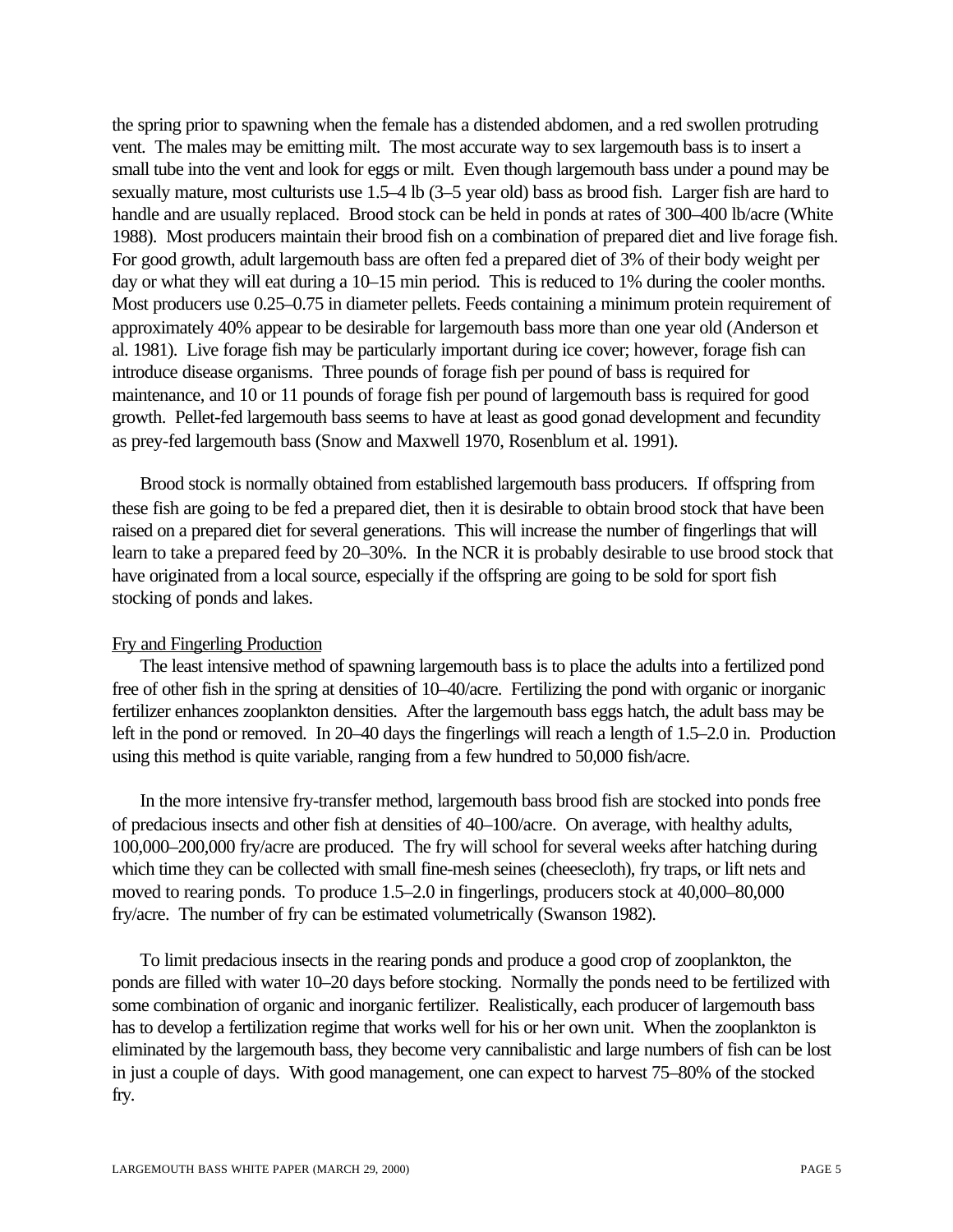the spring prior to spawning when the female has a distended abdomen, and a red swollen protruding vent. The males may be emitting milt. The most accurate way to sex largemouth bass is to insert a small tube into the vent and look for eggs or milt. Even though largemouth bass under a pound may be sexually mature, most culturists use 1.5–4 lb (3–5 year old) bass as brood fish. Larger fish are hard to handle and are usually replaced. Brood stock can be held in ponds at rates of 300–400 lb/acre (White 1988). Most producers maintain their brood fish on a combination of prepared diet and live forage fish. For good growth, adult largemouth bass are often fed a prepared diet of 3% of their body weight per day or what they will eat during a 10–15 min period. This is reduced to 1% during the cooler months. Most producers use 0.25–0.75 in diameter pellets. Feeds containing a minimum protein requirement of approximately 40% appear to be desirable for largemouth bass more than one year old (Anderson et al. 1981). Live forage fish may be particularly important during ice cover; however, forage fish can introduce disease organisms. Three pounds of forage fish per pound of bass is required for maintenance, and 10 or 11 pounds of forage fish per pound of largemouth bass is required for good growth. Pellet-fed largemouth bass seems to have at least as good gonad development and fecundity as prey-fed largemouth bass (Snow and Maxwell 1970, Rosenblum et al. 1991).

Brood stock is normally obtained from established largemouth bass producers. If offspring from these fish are going to be fed a prepared diet, then it is desirable to obtain brood stock that have been raised on a prepared diet for several generations. This will increase the number of fingerlings that will learn to take a prepared feed by 20–30%. In the NCR it is probably desirable to use brood stock that have originated from a local source, especially if the offspring are going to be sold for sport fish stocking of ponds and lakes.

#### Fry and Fingerling Production

The least intensive method of spawning largemouth bass is to place the adults into a fertilized pond free of other fish in the spring at densities of 10–40/acre. Fertilizing the pond with organic or inorganic fertilizer enhances zooplankton densities. After the largemouth bass eggs hatch, the adult bass may be left in the pond or removed. In 20–40 days the fingerlings will reach a length of 1.5–2.0 in. Production using this method is quite variable, ranging from a few hundred to 50,000 fish/acre.

In the more intensive fry-transfer method, largemouth bass brood fish are stocked into ponds free of predacious insects and other fish at densities of 40–100/acre. On average, with healthy adults, 100,000–200,000 fry/acre are produced. The fry will school for several weeks after hatching during which time they can be collected with small fine-mesh seines (cheesecloth), fry traps, or lift nets and moved to rearing ponds. To produce 1.5–2.0 in fingerlings, producers stock at 40,000–80,000 fry/acre. The number of fry can be estimated volumetrically (Swanson 1982).

To limit predacious insects in the rearing ponds and produce a good crop of zooplankton, the ponds are filled with water 10–20 days before stocking. Normally the ponds need to be fertilized with some combination of organic and inorganic fertilizer. Realistically, each producer of largemouth bass has to develop a fertilization regime that works well for his or her own unit. When the zooplankton is eliminated by the largemouth bass, they become very cannibalistic and large numbers of fish can be lost in just a couple of days. With good management, one can expect to harvest 75–80% of the stocked fry.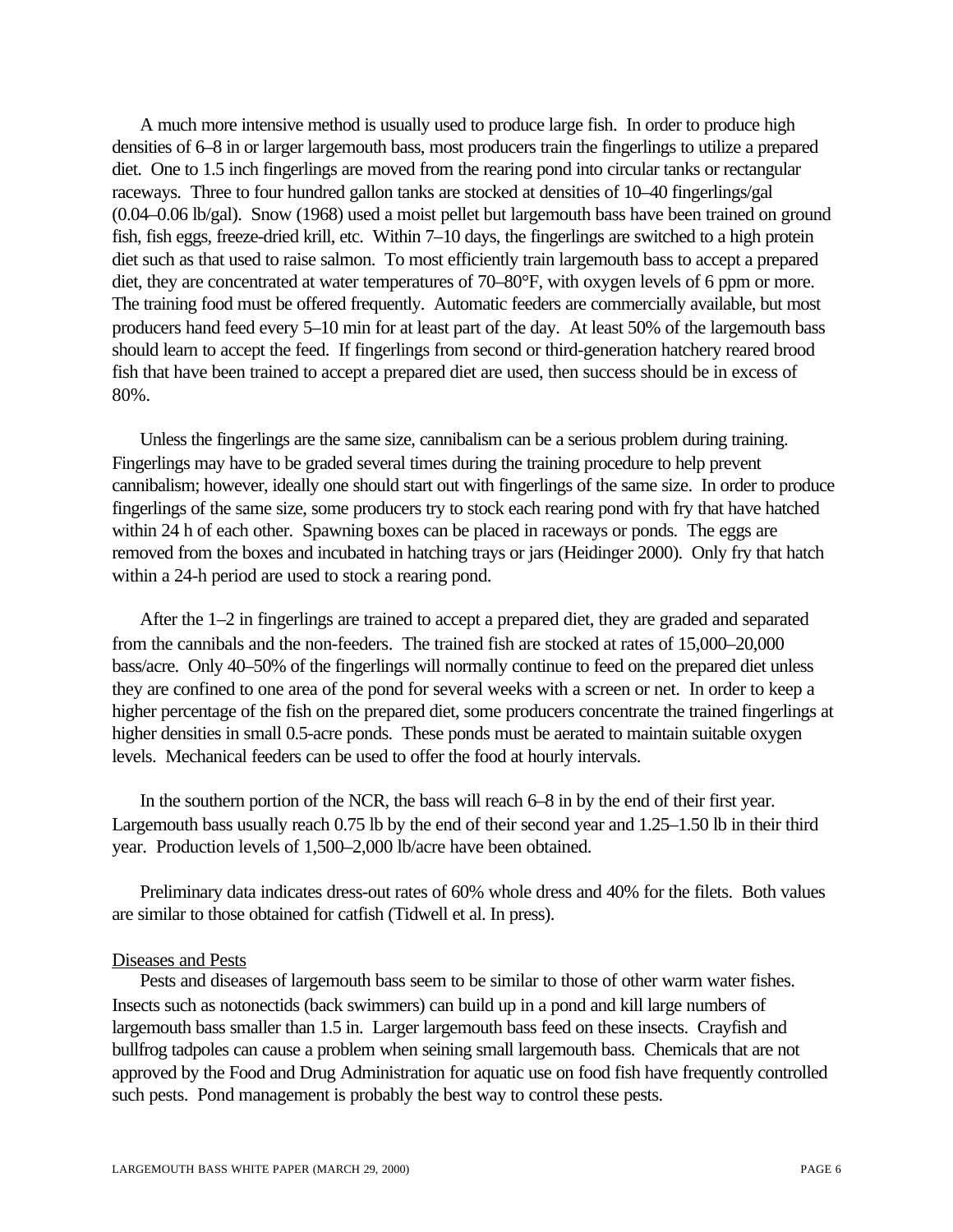A much more intensive method is usually used to produce large fish. In order to produce high densities of 6–8 in or larger largemouth bass, most producers train the fingerlings to utilize a prepared diet. One to 1.5 inch fingerlings are moved from the rearing pond into circular tanks or rectangular raceways. Three to four hundred gallon tanks are stocked at densities of 10–40 fingerlings/gal (0.04–0.06 lb/gal). Snow (1968) used a moist pellet but largemouth bass have been trained on ground fish, fish eggs, freeze-dried krill, etc. Within 7–10 days, the fingerlings are switched to a high protein diet such as that used to raise salmon. To most efficiently train largemouth bass to accept a prepared diet, they are concentrated at water temperatures of 70–80°F, with oxygen levels of 6 ppm or more. The training food must be offered frequently. Automatic feeders are commercially available, but most producers hand feed every 5–10 min for at least part of the day. At least 50% of the largemouth bass should learn to accept the feed. If fingerlings from second or third-generation hatchery reared brood fish that have been trained to accept a prepared diet are used, then success should be in excess of 80%.

Unless the fingerlings are the same size, cannibalism can be a serious problem during training. Fingerlings may have to be graded several times during the training procedure to help prevent cannibalism; however, ideally one should start out with fingerlings of the same size. In order to produce fingerlings of the same size, some producers try to stock each rearing pond with fry that have hatched within 24 h of each other. Spawning boxes can be placed in raceways or ponds. The eggs are removed from the boxes and incubated in hatching trays or jars (Heidinger 2000). Only fry that hatch within a 24-h period are used to stock a rearing pond.

After the 1–2 in fingerlings are trained to accept a prepared diet, they are graded and separated from the cannibals and the non-feeders. The trained fish are stocked at rates of 15,000–20,000 bass/acre. Only 40–50% of the fingerlings will normally continue to feed on the prepared diet unless they are confined to one area of the pond for several weeks with a screen or net. In order to keep a higher percentage of the fish on the prepared diet, some producers concentrate the trained fingerlings at higher densities in small 0.5-acre ponds. These ponds must be aerated to maintain suitable oxygen levels. Mechanical feeders can be used to offer the food at hourly intervals.

In the southern portion of the NCR, the bass will reach 6–8 in by the end of their first year. Largemouth bass usually reach 0.75 lb by the end of their second year and 1.25–1.50 lb in their third year. Production levels of 1,500–2,000 lb/acre have been obtained.

Preliminary data indicates dress-out rates of 60% whole dress and 40% for the filets. Both values are similar to those obtained for catfish (Tidwell et al. In press).

#### Diseases and Pests

Pests and diseases of largemouth bass seem to be similar to those of other warm water fishes. Insects such as notonectids (back swimmers) can build up in a pond and kill large numbers of largemouth bass smaller than 1.5 in. Larger largemouth bass feed on these insects. Crayfish and bullfrog tadpoles can cause a problem when seining small largemouth bass. Chemicals that are not approved by the Food and Drug Administration for aquatic use on food fish have frequently controlled such pests. Pond management is probably the best way to control these pests.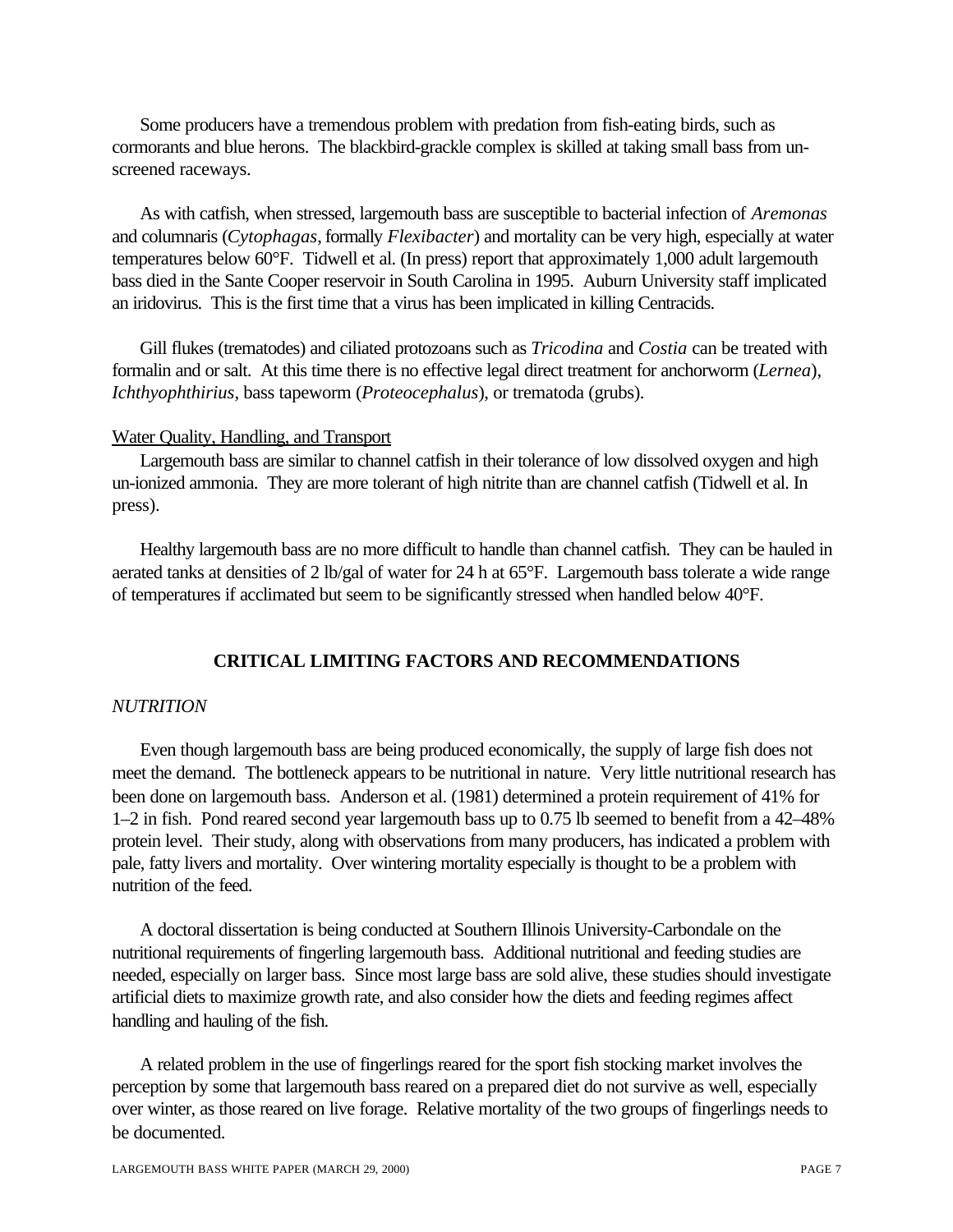Some producers have a tremendous problem with predation from fish-eating birds, such as cormorants and blue herons. The blackbird-grackle complex is skilled at taking small bass from unscreened raceways.

As with catfish, when stressed, largemouth bass are susceptible to bacterial infection of *Aremonas* and columnaris (*Cytophagas*, formally *Flexibacter*) and mortality can be very high, especially at water temperatures below 60°F. Tidwell et al. (In press) report that approximately 1,000 adult largemouth bass died in the Sante Cooper reservoir in South Carolina in 1995. Auburn University staff implicated an iridovirus. This is the first time that a virus has been implicated in killing Centracids.

Gill flukes (trematodes) and ciliated protozoans such as *Tricodina* and *Costia* can be treated with formalin and or salt. At this time there is no effective legal direct treatment for anchorworm (*Lernea*), *Ichthyophthirius*, bass tapeworm (*Proteocephalus*), or trematoda (grubs).

#### Water Quality, Handling, and Transport

Largemouth bass are similar to channel catfish in their tolerance of low dissolved oxygen and high un-ionized ammonia. They are more tolerant of high nitrite than are channel catfish (Tidwell et al. In press).

Healthy largemouth bass are no more difficult to handle than channel catfish. They can be hauled in aerated tanks at densities of 2 lb/gal of water for 24 h at 65°F. Largemouth bass tolerate a wide range of temperatures if acclimated but seem to be significantly stressed when handled below 40°F.

## **CRITICAL LIMITING FACTORS AND RECOMMENDATIONS**

### *NUTRITION*

Even though largemouth bass are being produced economically, the supply of large fish does not meet the demand. The bottleneck appears to be nutritional in nature. Very little nutritional research has been done on largemouth bass. Anderson et al. (1981) determined a protein requirement of 41% for 1–2 in fish. Pond reared second year largemouth bass up to 0.75 lb seemed to benefit from a 42–48% protein level. Their study, along with observations from many producers, has indicated a problem with pale, fatty livers and mortality. Over wintering mortality especially is thought to be a problem with nutrition of the feed.

A doctoral dissertation is being conducted at Southern Illinois University-Carbondale on the nutritional requirements of fingerling largemouth bass. Additional nutritional and feeding studies are needed, especially on larger bass. Since most large bass are sold alive, these studies should investigate artificial diets to maximize growth rate, and also consider how the diets and feeding regimes affect handling and hauling of the fish.

A related problem in the use of fingerlings reared for the sport fish stocking market involves the perception by some that largemouth bass reared on a prepared diet do not survive as well, especially over winter, as those reared on live forage. Relative mortality of the two groups of fingerlings needs to be documented.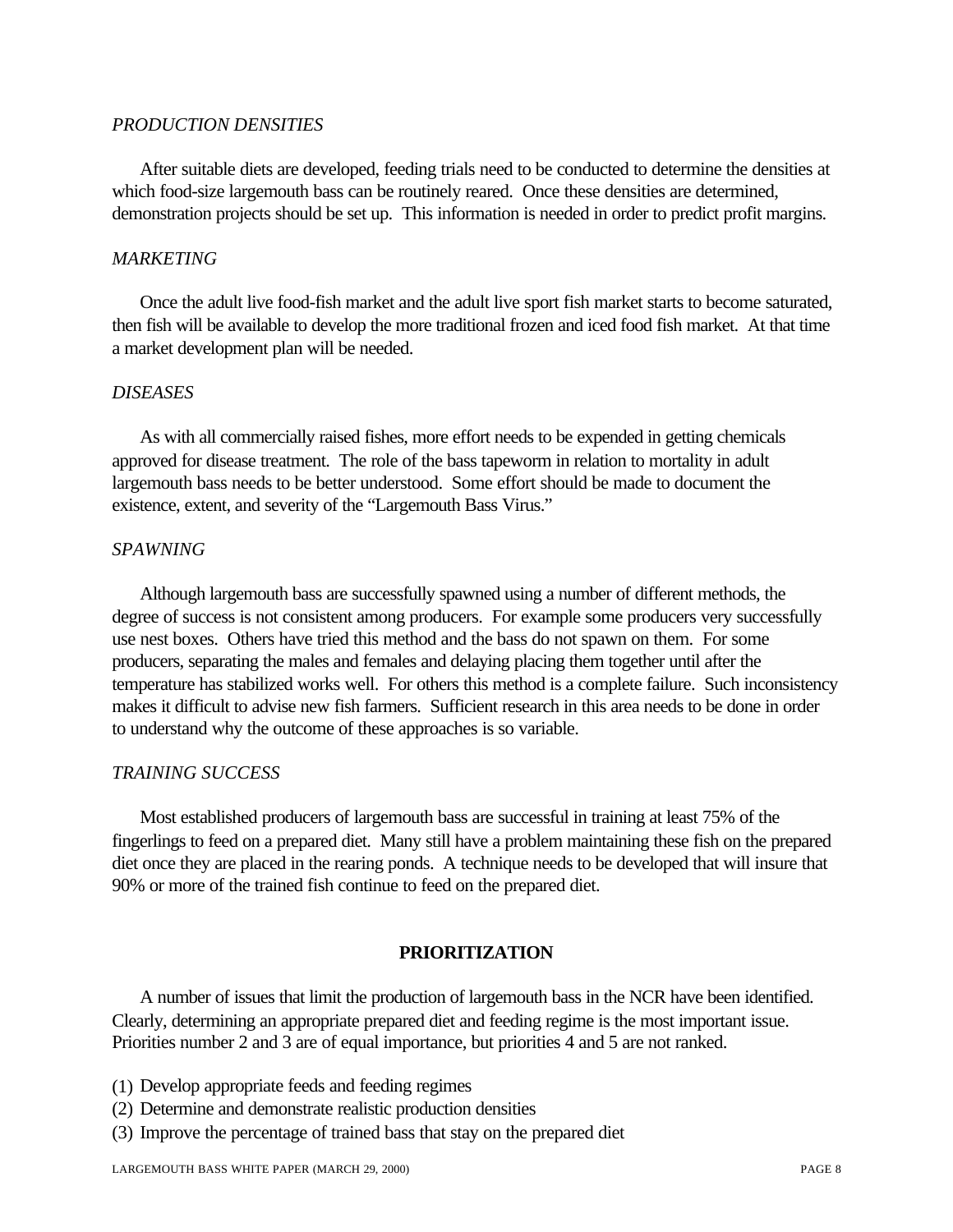## *PRODUCTION DENSITIES*

After suitable diets are developed, feeding trials need to be conducted to determine the densities at which food-size largemouth bass can be routinely reared. Once these densities are determined, demonstration projects should be set up. This information is needed in order to predict profit margins.

#### *MARKETING*

Once the adult live food-fish market and the adult live sport fish market starts to become saturated, then fish will be available to develop the more traditional frozen and iced food fish market. At that time a market development plan will be needed.

#### *DISEASES*

As with all commercially raised fishes, more effort needs to be expended in getting chemicals approved for disease treatment. The role of the bass tapeworm in relation to mortality in adult largemouth bass needs to be better understood. Some effort should be made to document the existence, extent, and severity of the "Largemouth Bass Virus."

## *SPAWNING*

Although largemouth bass are successfully spawned using a number of different methods, the degree of success is not consistent among producers. For example some producers very successfully use nest boxes. Others have tried this method and the bass do not spawn on them. For some producers, separating the males and females and delaying placing them together until after the temperature has stabilized works well. For others this method is a complete failure. Such inconsistency makes it difficult to advise new fish farmers. Sufficient research in this area needs to be done in order to understand why the outcome of these approaches is so variable.

#### *TRAINING SUCCESS*

Most established producers of largemouth bass are successful in training at least 75% of the fingerlings to feed on a prepared diet. Many still have a problem maintaining these fish on the prepared diet once they are placed in the rearing ponds. A technique needs to be developed that will insure that 90% or more of the trained fish continue to feed on the prepared diet.

## **PRIORITIZATION**

A number of issues that limit the production of largemouth bass in the NCR have been identified. Clearly, determining an appropriate prepared diet and feeding regime is the most important issue. Priorities number 2 and 3 are of equal importance, but priorities 4 and 5 are not ranked.

- (1) Develop appropriate feeds and feeding regimes
- (2) Determine and demonstrate realistic production densities
- (3) Improve the percentage of trained bass that stay on the prepared diet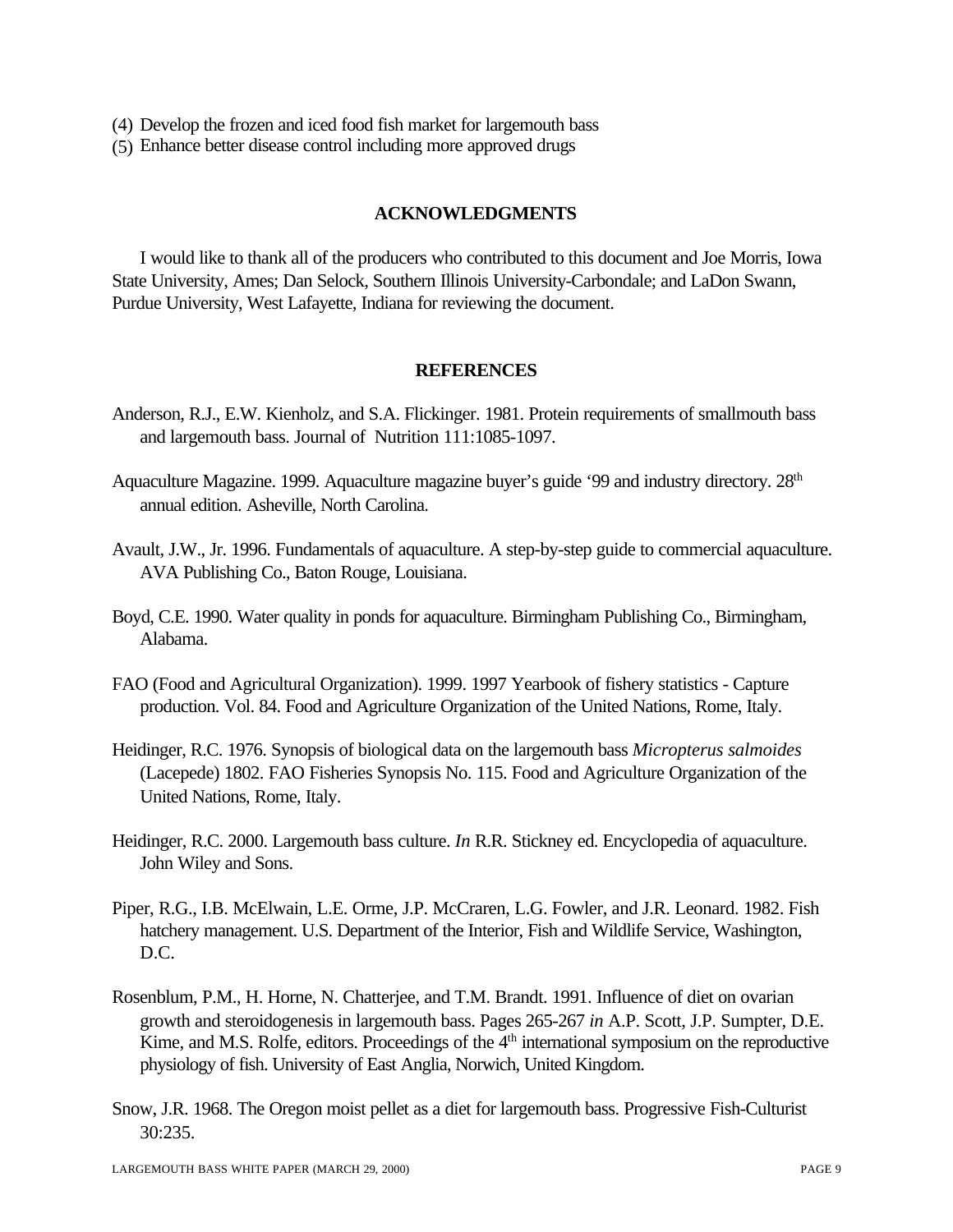- (4) Develop the frozen and iced food fish market for largemouth bass
- (5) Enhance better disease control including more approved drugs

## **ACKNOWLEDGMENTS**

I would like to thank all of the producers who contributed to this document and Joe Morris, Iowa State University, Ames; Dan Selock, Southern Illinois University-Carbondale; and LaDon Swann, Purdue University, West Lafayette, Indiana for reviewing the document.

### **REFERENCES**

- Anderson, R.J., E.W. Kienholz, and S.A. Flickinger. 1981. Protein requirements of smallmouth bass and largemouth bass. Journal of Nutrition 111:1085-1097.
- Aquaculture Magazine. 1999. Aquaculture magazine buyer's guide '99 and industry directory.  $28<sup>th</sup>$ annual edition. Asheville, North Carolina.
- Avault, J.W., Jr. 1996. Fundamentals of aquaculture. A step-by-step guide to commercial aquaculture. AVA Publishing Co., Baton Rouge, Louisiana.
- Boyd, C.E. 1990. Water quality in ponds for aquaculture. Birmingham Publishing Co., Birmingham, Alabama.
- FAO (Food and Agricultural Organization). 1999. 1997 Yearbook of fishery statistics Capture production. Vol. 84. Food and Agriculture Organization of the United Nations, Rome, Italy.
- Heidinger, R.C. 1976. Synopsis of biological data on the largemouth bass *Micropterus salmoides* (Lacepede) 1802. FAO Fisheries Synopsis No. 115. Food and Agriculture Organization of the United Nations, Rome, Italy.
- Heidinger, R.C. 2000. Largemouth bass culture. *In* R.R. Stickney ed. Encyclopedia of aquaculture. John Wiley and Sons.
- Piper, R.G., I.B. McElwain, L.E. Orme, J.P. McCraren, L.G. Fowler, and J.R. Leonard. 1982. Fish hatchery management. U.S. Department of the Interior, Fish and Wildlife Service, Washington, D.C.
- Rosenblum, P.M., H. Horne, N. Chatterjee, and T.M. Brandt. 1991. Influence of diet on ovarian growth and steroidogenesis in largemouth bass. Pages 265-267 *in* A.P. Scott, J.P. Sumpter, D.E. Kime, and M.S. Rolfe, editors. Proceedings of the  $4<sup>th</sup>$  international symposium on the reproductive physiology of fish. University of East Anglia, Norwich, United Kingdom.
- Snow, J.R. 1968. The Oregon moist pellet as a diet for largemouth bass. Progressive Fish-Culturist 30:235.